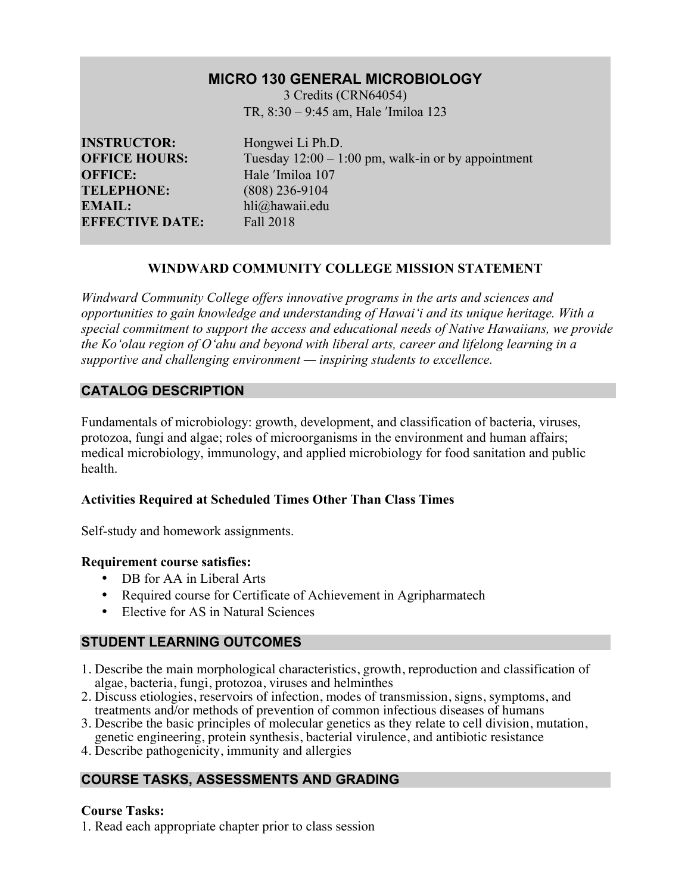# **MICRO 130 GENERAL MICROBIOLOGY**

3 Credits (CRN64054) TR, 8:30 – 9:45 am, Hale ʹImiloa 123

**INSTRUCTOR:** Hongwei Li Ph.D. **OFFICE:** Hale <sup>'Imiloa</sup> 107 **TELEPHONE:** (808) 236-9104 **EMAIL:** hli@hawaii.edu **EFFECTIVE DATE:** Fall 2018

**OFFICE HOURS:** Tuesday  $12:00 - 1:00$  pm, walk-in or by appointment

## **WINDWARD COMMUNITY COLLEGE MISSION STATEMENT**

*Windward Community College offers innovative programs in the arts and sciences and opportunities to gain knowledge and understanding of Hawai'i and its unique heritage. With a special commitment to support the access and educational needs of Native Hawaiians, we provide the Ko'olau region of Oʻahu and beyond with liberal arts, career and lifelong learning in a supportive and challenging environment — inspiring students to excellence.*

## **CATALOG DESCRIPTION**

Fundamentals of microbiology: growth, development, and classification of bacteria, viruses, protozoa, fungi and algae; roles of microorganisms in the environment and human affairs; medical microbiology, immunology, and applied microbiology for food sanitation and public health.

## **Activities Required at Scheduled Times Other Than Class Times**

Self-study and homework assignments.

## **Requirement course satisfies:**

- DB for AA in Liberal Arts
- Required course for Certificate of Achievement in Agripharmatech
- Elective for AS in Natural Sciences

# **STUDENT LEARNING OUTCOMES**

- 1. Describe the main morphological characteristics, growth, reproduction and classification of algae, bacteria, fungi, protozoa, viruses and helminthes
- 2. Discuss etiologies, reservoirs of infection, modes of transmission, signs, symptoms, and treatments and/or methods of prevention of common infectious diseases of humans
- 3. Describe the basic principles of molecular genetics as they relate to cell division, mutation, genetic engineering, protein synthesis, bacterial virulence, and antibiotic resistance
- 4. Describe pathogenicity, immunity and allergies

# **COURSE TASKS, ASSESSMENTS AND GRADING**

## **Course Tasks:**

1. Read each appropriate chapter prior to class session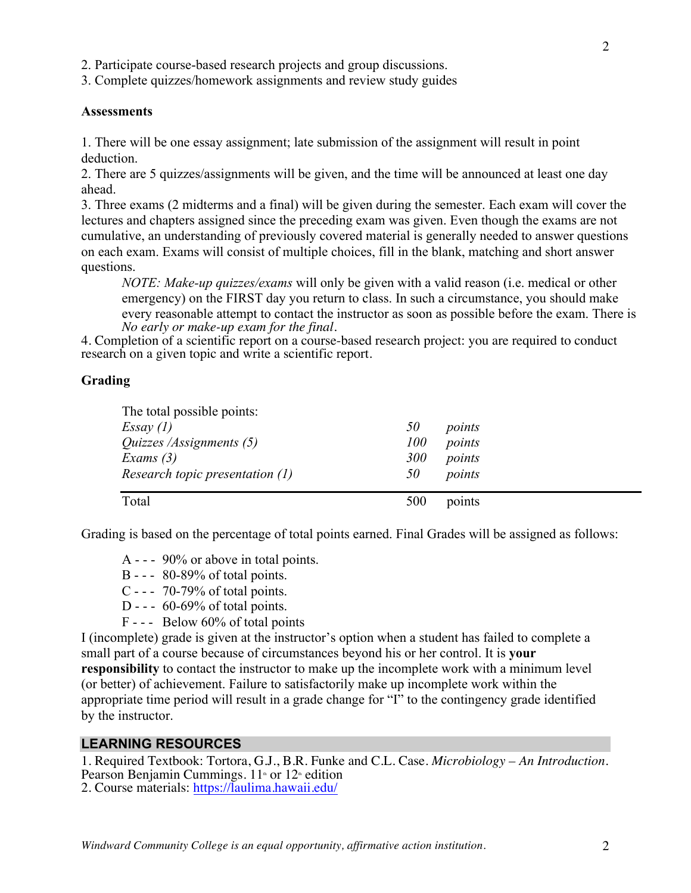2. Participate course-based research projects and group discussions.

3. Complete quizzes/homework assignments and review study guides

### **Assessments**

1. There will be one essay assignment; late submission of the assignment will result in point deduction.

2. There are 5 quizzes/assignments will be given, and the time will be announced at least one day ahead.

3. Three exams (2 midterms and a final) will be given during the semester. Each exam will cover the lectures and chapters assigned since the preceding exam was given. Even though the exams are not cumulative, an understanding of previously covered material is generally needed to answer questions on each exam. Exams will consist of multiple choices, fill in the blank, matching and short answer questions.

*NOTE: Make-up quizzes/exams* will only be given with a valid reason (i.e. medical or other emergency) on the FIRST day you return to class. In such a circumstance, you should make every reasonable attempt to contact the instructor as soon as possible before the exam. There is *No early or make-up exam for the final.*

4. Completion of a scientific report on a course-based research project: you are required to conduct research on a given topic and write a scientific report.

#### **Grading**

| The total possible points:        |     |        |
|-----------------------------------|-----|--------|
| Essay(1)                          | 50  | points |
| Quizzes /Assignments (5)          | 100 | points |
| Exams $(3)$                       | 300 | points |
| Research topic presentation $(1)$ | 50  | points |
| Total                             | 500 | points |

Grading is based on the percentage of total points earned. Final Grades will be assigned as follows:

A - - - 90% or above in total points.

B - - - 80-89% of total points.

- C -  $70-79\%$  of total points.
- D -  $60-69\%$  of total points.
- $F -$  Below 60% of total points

I (incomplete) grade is given at the instructor's option when a student has failed to complete a small part of a course because of circumstances beyond his or her control. It is **your responsibility** to contact the instructor to make up the incomplete work with a minimum level (or better) of achievement. Failure to satisfactorily make up incomplete work within the appropriate time period will result in a grade change for "I" to the contingency grade identified by the instructor.

#### **LEARNING RESOURCES**

1. Required Textbook: Tortora, G.J., B.R. Funke and C.L. Case. *Microbiology – An Introduction*. Pearson Benjamin Cummings. 11<sup>th</sup> or 12<sup>th</sup> edition

2. Course materials: https://laulima.hawaii.edu/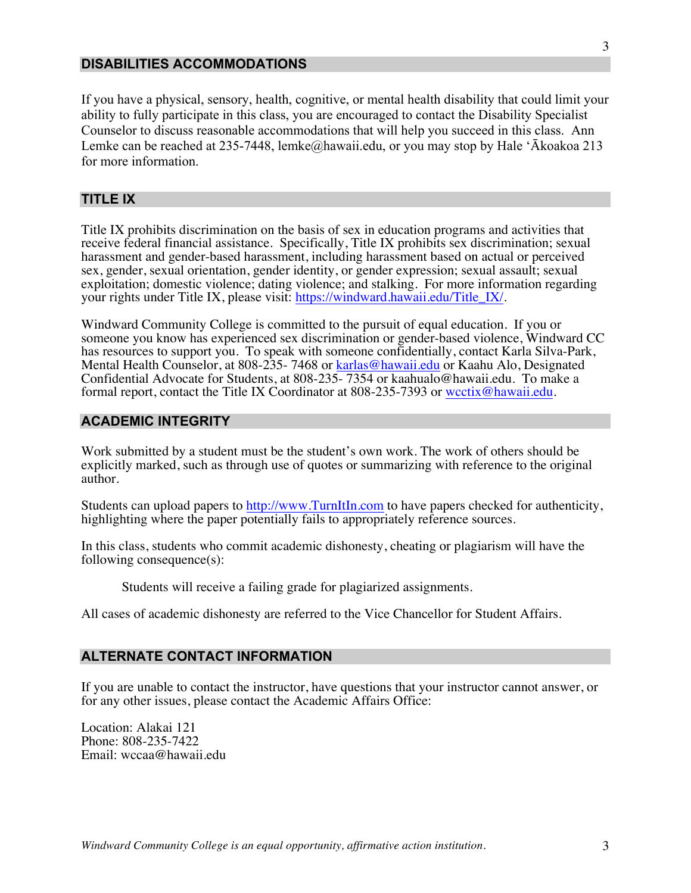#### **DISABILITIES ACCOMMODATIONS**

If you have a physical, sensory, health, cognitive, or mental health disability that could limit your ability to fully participate in this class, you are encouraged to contact the Disability Specialist Counselor to discuss reasonable accommodations that will help you succeed in this class. Ann Lemke can be reached at 235-7448, lemke@hawaii.edu, or you may stop by Hale 'Ākoakoa 213 for more information.

#### **TITLE IX**

Title IX prohibits discrimination on the basis of sex in education programs and activities that receive federal financial assistance. Specifically, Title IX prohibits sex discrimination; sexual harassment and gender-based harassment, including harassment based on actual or perceived sex, gender, sexual orientation, gender identity, or gender expression; sexual assault; sexual exploitation; domestic violence; dating violence; and stalking. For more information regarding your rights under Title IX, please visit: https://windward.hawaii.edu/Title\_IX/.

Windward Community College is committed to the pursuit of equal education. If you or someone you know has experienced sex discrimination or gender-based violence, Windward CC has resources to support you. To speak with someone confidentially, contact Karla Silva-Park, Mental Health Counselor, at 808-235- 7468 or karlas@hawaii.edu or Kaahu Alo, Designated Confidential Advocate for Students, at 808-235- 7354 or kaahualo@hawaii.edu. To make a formal report, contact the Title IX Coordinator at 808-235-7393 or wcctix@hawaii.edu.

#### **ACADEMIC INTEGRITY**

Work submitted by a student must be the student's own work. The work of others should be explicitly marked, such as through use of quotes or summarizing with reference to the original author.

Students can upload papers to http://www.TurnItIn.com to have papers checked for authenticity, highlighting where the paper potentially fails to appropriately reference sources.

In this class, students who commit academic dishonesty, cheating or plagiarism will have the following consequence(s):

Students will receive a failing grade for plagiarized assignments.

All cases of academic dishonesty are referred to the Vice Chancellor for Student Affairs.

#### **ALTERNATE CONTACT INFORMATION**

If you are unable to contact the instructor, have questions that your instructor cannot answer, or for any other issues, please contact the Academic Affairs Office:

Location: Alakai 121 Phone: 808-235-7422 Email: wccaa@hawaii.edu